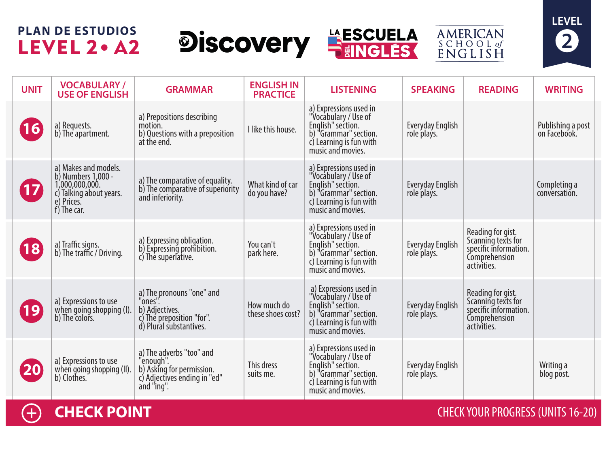## **PLAN DE ESTUDIOS** LEVEL 2 . A2







| <b>UNIT</b>       | <b>VOCABULARY /</b><br><b>USE OF ENGLISH</b>                                                                         | <b>GRAMMAR</b>                                                                                                   | <b>ENGLISH IN</b><br><b>PRACTICE</b> | <b>LISTENING</b>                                                                                                                             | <b>SPEAKING</b>                        | <b>READING</b>                                                                                   | <b>WRITING</b>                    |
|-------------------|----------------------------------------------------------------------------------------------------------------------|------------------------------------------------------------------------------------------------------------------|--------------------------------------|----------------------------------------------------------------------------------------------------------------------------------------------|----------------------------------------|--------------------------------------------------------------------------------------------------|-----------------------------------|
| 16                | a) Requests.<br>b) The apartment.                                                                                    | a) Prepositions describing<br>motion.<br>b) Questions with a preposition<br>at the end.                          | I like this house.                   | a) Expressions used in<br>"Vocabulary / Use of<br>English" section.<br>b) "Grammar" section.<br>c) Learning is fun with<br>music and movies. | Everyday English<br>role plays.        |                                                                                                  | Publishing a post<br>on Facebook. |
| 17                | a) Makes and models.<br>b) Numbers 1,000 -<br>1,000,000,000.<br>c) Talking about years.<br>e) Prices.<br>f) The car. | a) The comparative of equality.<br>b) The comparative of superiority<br>and inferiority.                         | What kind of car<br>do you have?     | a) Expressions used in<br>"Vocabulary / Use of<br>English" section.<br>b) "Grammar" section.<br>c) Learning is fun with<br>music and movies. | <b>Everyday English</b><br>role plays. |                                                                                                  | Completing a<br>conversation.     |
| $ 18\rangle$      | a) Traffic signs.<br>b) The traffic / Driving.                                                                       | a) Expressing obligation.<br>b) Expressing prohibition.<br>c) The superlative.                                   | You can't<br>park here.              | a) Expressions used in<br>"Vocabulary / Use of<br>English" section.<br>b) "Grammar" section.<br>c) Learning is fun with<br>music and movies. | Everyday English<br>role plays.        | Reading for gist.<br>Scanning texts for<br>specific information.<br>Comprehension<br>activities. |                                   |
| $\left[19\right]$ | a) Expressions to use<br>when going shopping (I).<br>b) The colors.                                                  | a) The pronouns "one" and<br>"ones".<br>b) Adjectives.<br>c) The preposition "for".<br>d) Plural substantives.   | How much do<br>these shoes cost?     | a) Expressions used in<br>"Vocabulary / Use of<br>English" section.<br>b) "Grammar" section.<br>c) Learning is fun with<br>music and movies. | <b>Everyday English</b><br>role plays. | Reading for gist.<br>Scanning texts for<br>specific information.<br>Comprehension<br>activities. |                                   |
| <b>20</b>         | a) Expressions to use<br>when going shopping (II).<br>b) Clothes.                                                    | a) The adverbs "too" and<br>"enough".<br>b) Asking for permission.<br>c) Adjectives ending in "ed"<br>and "ing". | This dress<br>suits me.              | a) Expressions used in<br>"Vocabulary / Use of<br>English" section.<br>b) "Grammar" section.<br>c) Learning is fun with<br>music and movies. | <b>Everyday English</b><br>role plays. |                                                                                                  | Writing a<br>blog post.           |

 $\bigoplus$ 

**CHECK POINT CHECK AND INCOMERCIAL CHECK YOUR PROGRESS (UNITS 16-20)**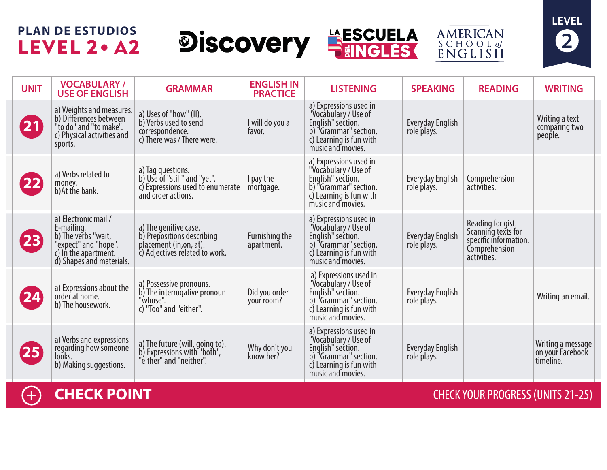## **PLAN DE ESTUDIOS** LEVEL 2 . A2









**11**

**CHECK POINT** CHECK YOUR PROGRESS (UNITS 21-25)